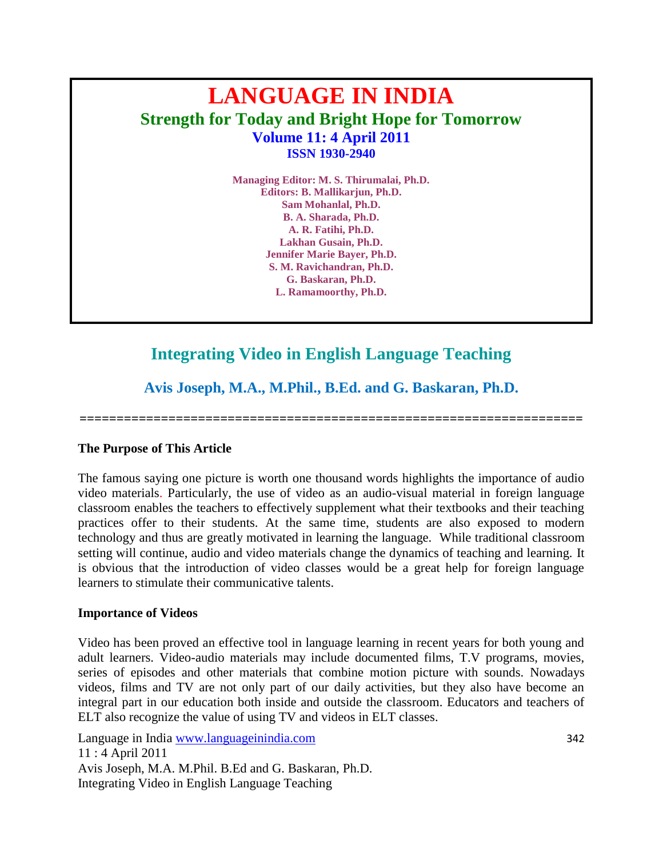# **LANGUAGE IN INDIA Strength for Today and Bright Hope for Tomorrow Volume 11: 4 April 2011 ISSN 1930-2940**

**Managing Editor: M. S. Thirumalai, Ph.D. Editors: B. Mallikarjun, Ph.D. Sam Mohanlal, Ph.D. B. A. Sharada, Ph.D. A. R. Fatihi, Ph.D. Lakhan Gusain, Ph.D. Jennifer Marie Bayer, Ph.D. S. M. Ravichandran, Ph.D. G. Baskaran, Ph.D. L. Ramamoorthy, Ph.D.**

## **Integrating Video in English Language Teaching**

**Avis Joseph, M.A., M.Phil., B.Ed. and G. Baskaran, Ph.D.**

**====================================================================**

## **The Purpose of This Article**

The famous saying one picture is worth one thousand words highlights the importance of audio video materials. Particularly, the use of video as an audio-visual material in foreign language classroom enables the teachers to effectively supplement what their textbooks and their teaching practices offer to their students. At the same time, students are also exposed to modern technology and thus are greatly motivated in learning the language. While traditional classroom setting will continue, audio and video materials change the dynamics of teaching and learning. It is obvious that the introduction of video classes would be a great help for foreign language learners to stimulate their communicative talents.

#### **Importance of Videos**

Video has been proved an effective tool in language learning in recent years for both young and adult learners. Video-audio materials may include documented films, T.V programs, movies, series of episodes and other materials that combine motion picture with sounds. Nowadays videos, films and TV are not only part of our daily activities, but they also have become an integral part in our education both inside and outside the classroom. Educators and teachers of ELT also recognize the value of using TV and videos in ELT classes.

Language in India www.languageinindia.com 342 11 : 4 April 2011 Avis Joseph, M.A. M.Phil. B.Ed and G. Baskaran, Ph.D. Integrating Video in English Language Teaching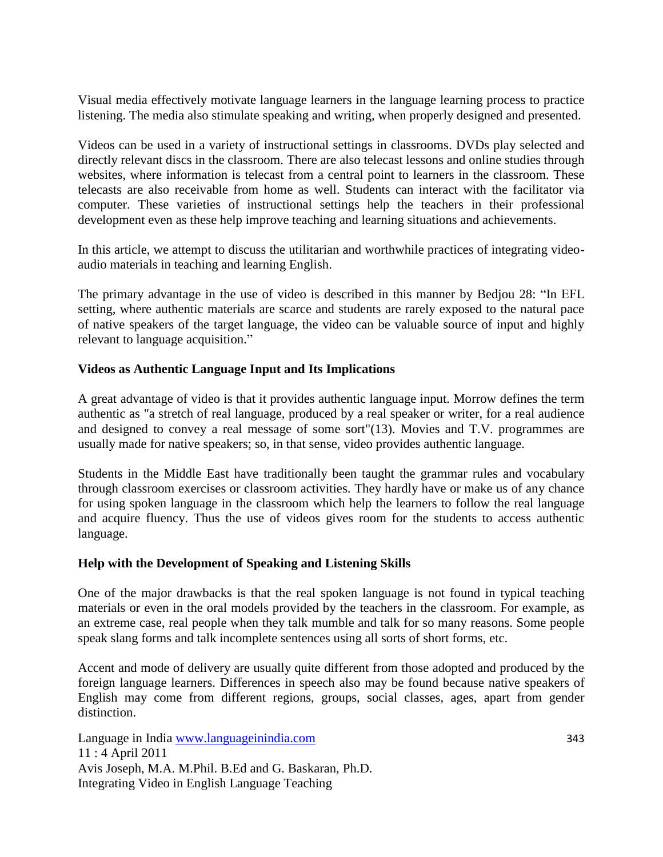Visual media effectively motivate language learners in the language learning process to practice listening. The media also stimulate speaking and writing, when properly designed and presented.

Videos can be used in a variety of instructional settings in classrooms. DVDs play selected and directly relevant discs in the classroom. There are also telecast lessons and online studies through websites, where information is telecast from a central point to learners in the classroom. These telecasts are also receivable from home as well. Students can interact with the facilitator via computer. These varieties of instructional settings help the teachers in their professional development even as these help improve teaching and learning situations and achievements.

In this article, we attempt to discuss the utilitarian and worthwhile practices of integrating videoaudio materials in teaching and learning English.

The primary advantage in the use of video is described in this manner by Bedjou 28: "In EFL setting, where authentic materials are scarce and students are rarely exposed to the natural pace of native speakers of the target language, the video can be valuable source of input and highly relevant to language acquisition."

## **Videos as Authentic Language Input and Its Implications**

A great advantage of video is that it provides authentic language input. Morrow defines the term authentic as "a stretch of real language, produced by a real speaker or writer, for a real audience and designed to convey a real message of some sort"(13). Movies and T.V. programmes are usually made for native speakers; so, in that sense, video provides authentic language.

Students in the Middle East have traditionally been taught the grammar rules and vocabulary through classroom exercises or classroom activities. They hardly have or make us of any chance for using spoken language in the classroom which help the learners to follow the real language and acquire fluency. Thus the use of videos gives room for the students to access authentic language.

## **Help with the Development of Speaking and Listening Skills**

One of the major drawbacks is that the real spoken language is not found in typical teaching materials or even in the oral models provided by the teachers in the classroom. For example, as an extreme case, real people when they talk mumble and talk for so many reasons. Some people speak slang forms and talk incomplete sentences using all sorts of short forms, etc.

Accent and mode of delivery are usually quite different from those adopted and produced by the foreign language learners. Differences in speech also may be found because native speakers of English may come from different regions, groups, social classes, ages, apart from gender distinction.

Language in India www.languageinindia.com 343 11 : 4 April 2011 Avis Joseph, M.A. M.Phil. B.Ed and G. Baskaran, Ph.D. Integrating Video in English Language Teaching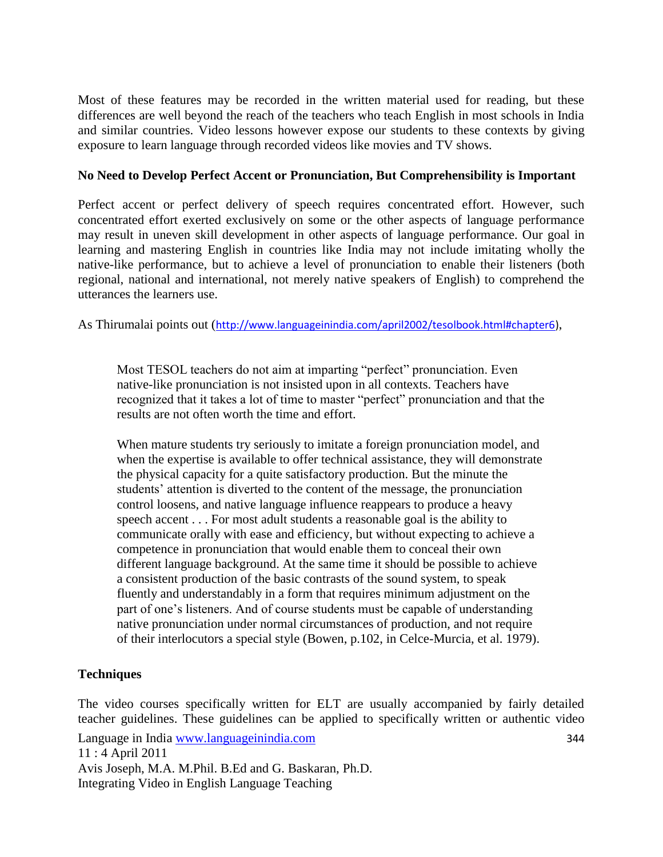Most of these features may be recorded in the written material used for reading, but these differences are well beyond the reach of the teachers who teach English in most schools in India and similar countries. Video lessons however expose our students to these contexts by giving exposure to learn language through recorded videos like movies and TV shows.

## **No Need to Develop Perfect Accent or Pronunciation, But Comprehensibility is Important**

Perfect accent or perfect delivery of speech requires concentrated effort. However, such concentrated effort exerted exclusively on some or the other aspects of language performance may result in uneven skill development in other aspects of language performance. Our goal in learning and mastering English in countries like India may not include imitating wholly the native-like performance, but to achieve a level of pronunciation to enable their listeners (both regional, national and international, not merely native speakers of English) to comprehend the utterances the learners use.

As Thirumalai points out ([http://www.languageinindia.com/april2002/tesolbook.html#chapter6\)](http://www.languageinindia.com/april2002/tesolbook.html#chapter6),

Most TESOL teachers do not aim at imparting "perfect" pronunciation. Even native-like pronunciation is not insisted upon in all contexts. Teachers have recognized that it takes a lot of time to master "perfect" pronunciation and that the results are not often worth the time and effort.

When mature students try seriously to imitate a foreign pronunciation model, and when the expertise is available to offer technical assistance, they will demonstrate the physical capacity for a quite satisfactory production. But the minute the students' attention is diverted to the content of the message, the pronunciation control loosens, and native language influence reappears to produce a heavy speech accent . . . For most adult students a reasonable goal is the ability to communicate orally with ease and efficiency, but without expecting to achieve a competence in pronunciation that would enable them to conceal their own different language background. At the same time it should be possible to achieve a consistent production of the basic contrasts of the sound system, to speak fluently and understandably in a form that requires minimum adjustment on the part of one"s listeners. And of course students must be capable of understanding native pronunciation under normal circumstances of production, and not require of their interlocutors a special style (Bowen, p.102, in Celce-Murcia, et al. 1979).

## **Techniques**

Language in India www.languageinindia.com 344 11 : 4 April 2011 Avis Joseph, M.A. M.Phil. B.Ed and G. Baskaran, Ph.D. Integrating Video in English Language Teaching The video courses specifically written for ELT are usually accompanied by fairly detailed teacher guidelines. These guidelines can be applied to specifically written or authentic video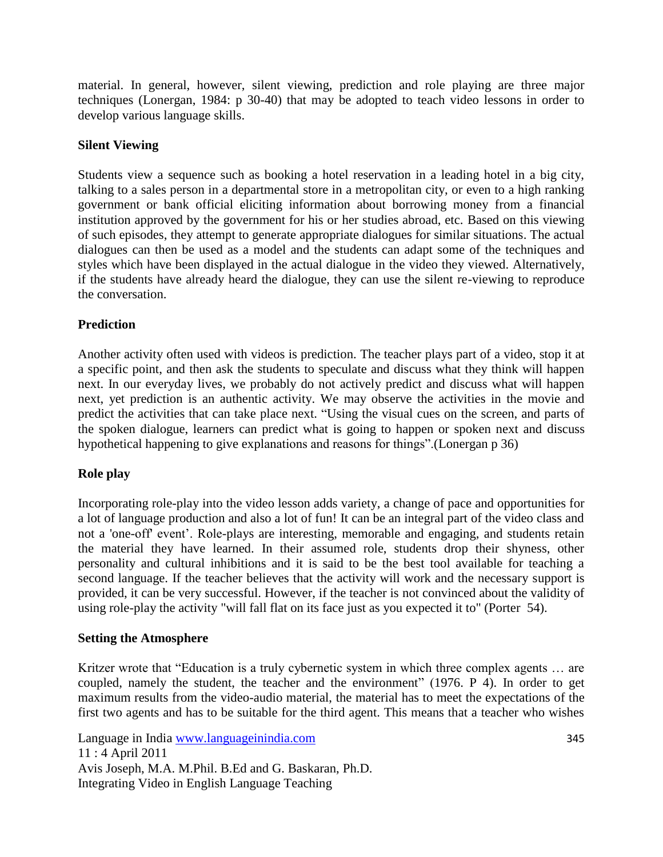material. In general, however, silent viewing, prediction and role playing are three major techniques (Lonergan, 1984: p 30-40) that may be adopted to teach video lessons in order to develop various language skills.

## **Silent Viewing**

Students view a sequence such as booking a hotel reservation in a leading hotel in a big city, talking to a sales person in a departmental store in a metropolitan city, or even to a high ranking government or bank official eliciting information about borrowing money from a financial institution approved by the government for his or her studies abroad, etc. Based on this viewing of such episodes, they attempt to generate appropriate dialogues for similar situations. The actual dialogues can then be used as a model and the students can adapt some of the techniques and styles which have been displayed in the actual dialogue in the video they viewed. Alternatively, if the students have already heard the dialogue, they can use the silent re-viewing to reproduce the conversation.

## **Prediction**

Another activity often used with videos is prediction. The teacher plays part of a video, stop it at a specific point, and then ask the students to speculate and discuss what they think will happen next. In our everyday lives, we probably do not actively predict and discuss what will happen next, yet prediction is an authentic activity. We may observe the activities in the movie and predict the activities that can take place next. "Using the visual cues on the screen, and parts of the spoken dialogue, learners can predict what is going to happen or spoken next and discuss hypothetical happening to give explanations and reasons for things".(Lonergan p 36)

## **Role play**

Incorporating role-play into the video lesson adds variety, a change of pace and opportunities for a lot of language production and also a lot of fun! It can be an integral part of the video class and not a 'one-off' event'. Role-plays are interesting, memorable and engaging, and students retain the material they have learned. In their assumed role, students drop their shyness, other personality and cultural inhibitions and it is said to be the best tool available for teaching a second language. If the teacher believes that the activity will work and the necessary support is provided, it can be very successful. However, if the teacher is not convinced about the validity of using role-play the activity "will fall flat on its face just as you expected it to" (Porter 54).

## **Setting the Atmosphere**

Kritzer wrote that "Education is a truly cybernetic system in which three complex agents ... are coupled, namely the student, the teacher and the environment" (1976. P 4). In order to get maximum results from the video-audio material, the material has to meet the expectations of the first two agents and has to be suitable for the third agent. This means that a teacher who wishes

Language in India www.languageinindia.com 345 11 : 4 April 2011 Avis Joseph, M.A. M.Phil. B.Ed and G. Baskaran, Ph.D. Integrating Video in English Language Teaching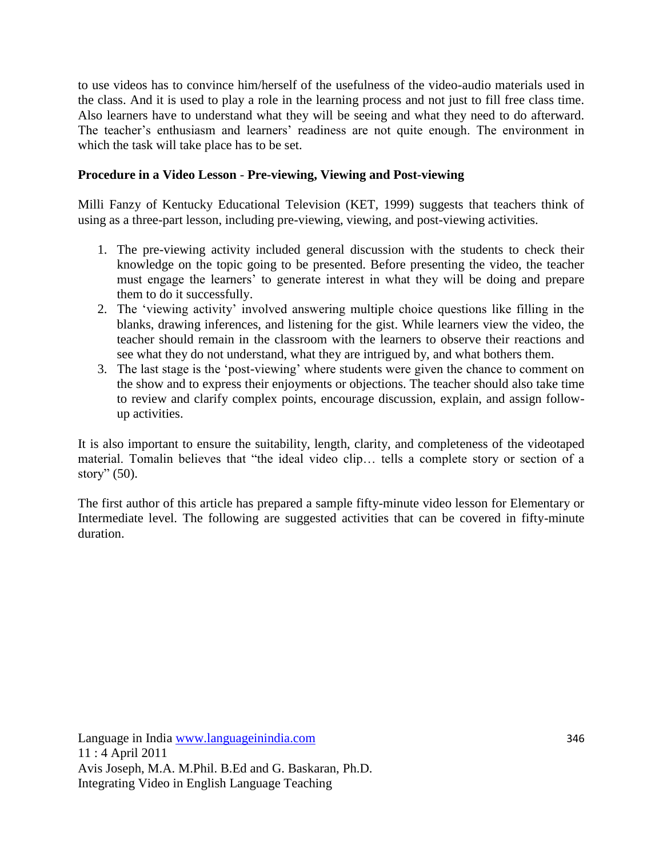to use videos has to convince him/herself of the usefulness of the video-audio materials used in the class. And it is used to play a role in the learning process and not just to fill free class time. Also learners have to understand what they will be seeing and what they need to do afterward. The teacher's enthusiasm and learners' readiness are not quite enough. The environment in which the task will take place has to be set.

## **Procedure in a Video Lesson** - **Pre-viewing, Viewing and Post-viewing**

Milli Fanzy of Kentucky Educational Television (KET, 1999) suggests that teachers think of using as a three-part lesson, including pre-viewing, viewing, and post-viewing activities.

- 1. The pre-viewing activity included general discussion with the students to check their knowledge on the topic going to be presented. Before presenting the video, the teacher must engage the learners' to generate interest in what they will be doing and prepare them to do it successfully.
- 2. The "viewing activity" involved answering multiple choice questions like filling in the blanks, drawing inferences, and listening for the gist. While learners view the video, the teacher should remain in the classroom with the learners to observe their reactions and see what they do not understand, what they are intrigued by, and what bothers them.
- 3. The last stage is the "post-viewing" where students were given the chance to comment on the show and to express their enjoyments or objections. The teacher should also take time to review and clarify complex points, encourage discussion, explain, and assign followup activities.

It is also important to ensure the suitability, length, clarity, and completeness of the videotaped material. Tomalin believes that "the ideal video clip… tells a complete story or section of a story" (50).

The first author of this article has prepared a sample fifty-minute video lesson for Elementary or Intermediate level. The following are suggested activities that can be covered in fifty-minute duration.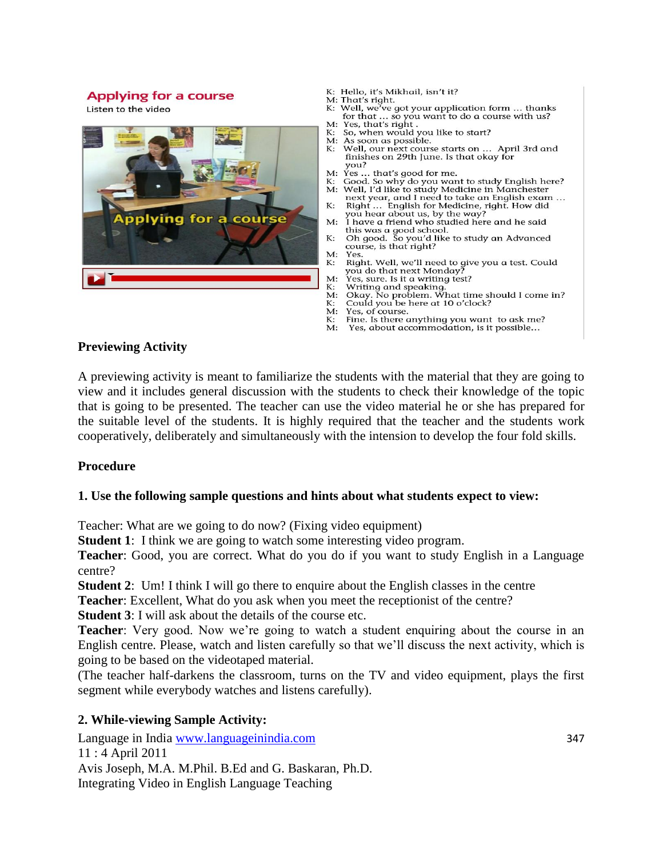#### **Applying for a course**

Listen to the video



- K: Hello, it's Mikhail, isn't it?
- M: That's right.
- K: Well, we've got your application form ... thanks for that ... so you want to do a course with us?<br>Yes, that's right .  $M:$
- So, when would you like to start? K:
- M: As soon as possible.
- Well, our next course starts on ... April 3rd and K: finishes on 29th June. Is that okay for you?
- $M:$
- yea...<br> that's good for me.<br>Good. So why do you want to study English here?<br> Well, I'd like to study Medicine in Manchester К:
- $M:$ next year, and I need to take an English exam
- К: Right ... English for Medicine, right. How did you hear about us, by the way?<br>I have a friend who studied here and he said
- $M$ this was a good school.<br>Oh good. So you'd like to study an Advanced
- $\mathbf{K}$ course, is that right?  $M:$ Yes.
- Right. Well, we'll need to give you a test. Could  $K:$ you do that next Monday?<br>Yes, sure. Is it a writing test?
- $M -$
- Vriting and speaking.<br>
Okay. No problem. What time should I come in? К:
- $M:$ Could you be here at 10 o'clock?
- К: M:
- Yes, of course. Fine. Is there anything you want to ask me?
- К:  $M:$ Yes, about accommodation, is it possible...

#### **Previewing Activity**

A previewing activity is meant to familiarize the students with the material that they are going to view and it includes general discussion with the students to check their knowledge of the topic that is going to be presented. The teacher can use the video material he or she has prepared for the suitable level of the students. It is highly required that the teacher and the students work cooperatively, deliberately and simultaneously with the intension to develop the four fold skills.

#### **Procedure**

#### **1. Use the following sample questions and hints about what students expect to view:**

Teacher: What are we going to do now? (Fixing video equipment)

**Student 1**: I think we are going to watch some interesting video program.

**Teacher**: Good, you are correct. What do you do if you want to study English in a Language centre?

**Student 2**: Um! I think I will go there to enquire about the English classes in the centre

**Teacher**: Excellent, What do you ask when you meet the receptionist of the centre?

**Student 3**: I will ask about the details of the course etc.

**Teacher**: Very good. Now we're going to watch a student enquiring about the course in an English centre. Please, watch and listen carefully so that we"ll discuss the next activity, which is going to be based on the videotaped material.

(The teacher half-darkens the classroom, turns on the TV and video equipment, plays the first segment while everybody watches and listens carefully).

## **2. While-viewing Sample Activity:**

Language in India www.languageinindia.com 347 11 : 4 April 2011 Avis Joseph, M.A. M.Phil. B.Ed and G. Baskaran, Ph.D. Integrating Video in English Language Teaching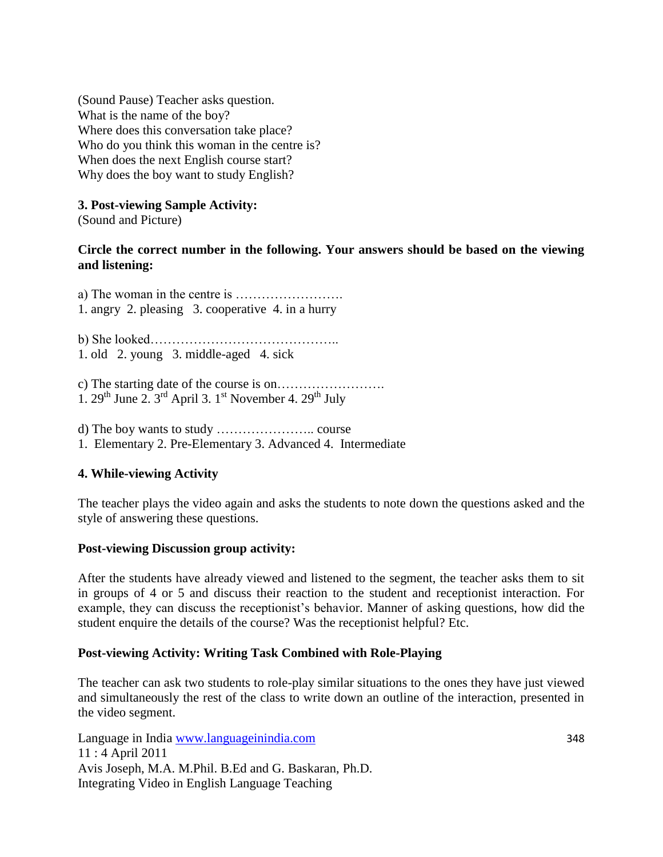(Sound Pause) Teacher asks question. What is the name of the boy? Where does this conversation take place? Who do you think this woman in the centre is? When does the next English course start? Why does the boy want to study English?

## **3. Post-viewing Sample Activity:**

(Sound and Picture)

## **Circle the correct number in the following. Your answers should be based on the viewing and listening:**

a) The woman in the centre is ……………………. 1. angry 2. pleasing 3. cooperative 4. in a hurry

b) She looked…………………………………….. 1. old 2. young 3. middle-aged 4. sick

- c) The starting date of the course is on……………………. 1.  $29^{th}$  June 2.  $3^{rd}$  April 3. 1<sup>st</sup> November 4.  $29^{th}$  July
- d) The boy wants to study ………………….. course
- 1. Elementary 2. Pre-Elementary 3. Advanced 4. Intermediate

## **4. While-viewing Activity**

The teacher plays the video again and asks the students to note down the questions asked and the style of answering these questions.

## **Post-viewing Discussion group activity:**

After the students have already viewed and listened to the segment, the teacher asks them to sit in groups of 4 or 5 and discuss their reaction to the student and receptionist interaction. For example, they can discuss the receptionist's behavior. Manner of asking questions, how did the student enquire the details of the course? Was the receptionist helpful? Etc.

## **Post-viewing Activity: Writing Task Combined with Role-Playing**

The teacher can ask two students to role-play similar situations to the ones they have just viewed and simultaneously the rest of the class to write down an outline of the interaction, presented in the video segment.

Language in India www.languageinindia.com 348 11 : 4 April 2011 Avis Joseph, M.A. M.Phil. B.Ed and G. Baskaran, Ph.D. Integrating Video in English Language Teaching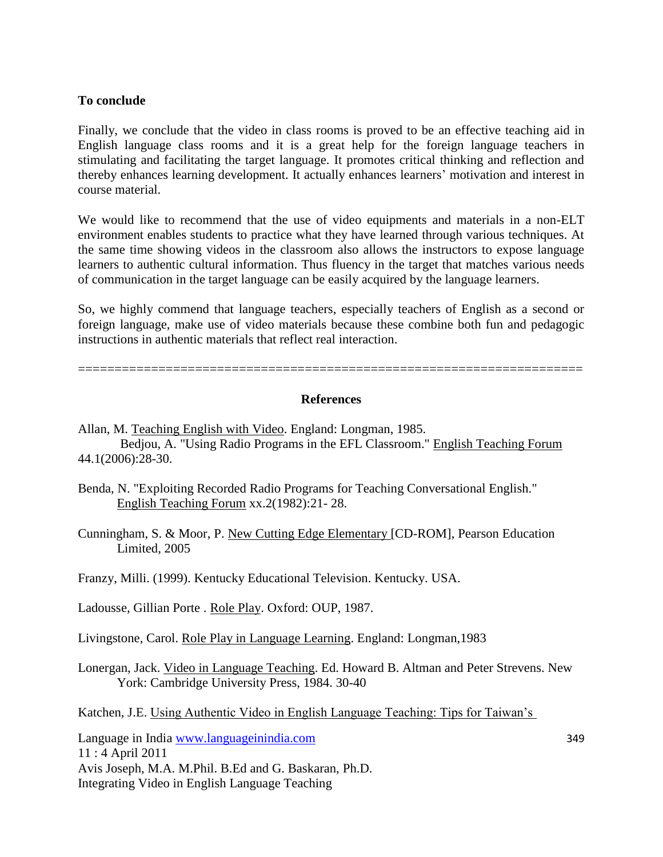## **To conclude**

Finally, we conclude that the video in class rooms is proved to be an effective teaching aid in English language class rooms and it is a great help for the foreign language teachers in stimulating and facilitating the target language. It promotes critical thinking and reflection and thereby enhances learning development. It actually enhances learners" motivation and interest in course material.

We would like to recommend that the use of video equipments and materials in a non-ELT environment enables students to practice what they have learned through various techniques. At the same time showing videos in the classroom also allows the instructors to expose language learners to authentic cultural information. Thus fluency in the target that matches various needs of communication in the target language can be easily acquired by the language learners.

So, we highly commend that language teachers, especially teachers of English as a second or foreign language, make use of video materials because these combine both fun and pedagogic instructions in authentic materials that reflect real interaction.

=====================================================================

#### **References**

- Allan, M. Teaching English with Video. England: Longman, 1985. Bedjou, A. "Using Radio Programs in the EFL Classroom." English Teaching Forum 44.1(2006):28-30.
- Benda, N. "Exploiting Recorded Radio Programs for Teaching Conversational English." English Teaching Forum xx.2(1982):21- 28.

Cunningham, S. & Moor, P. New Cutting Edge Elementary [CD-ROM], Pearson Education Limited, 2005

Franzy, Milli. (1999). Kentucky Educational Television. Kentucky. USA.

Ladousse, Gillian Porte . Role Play. Oxford: OUP, 1987.

Livingstone, Carol. Role Play in Language Learning. England: Longman,1983

Lonergan, Jack. Video in Language Teaching. Ed. Howard B. Altman and Peter Strevens. New York: Cambridge University Press, 1984. 30-40

Katchen, J.E. Using Authentic Video in English Language Teaching: Tips for Taiwan"s

Language in India www.languageinindia.com 349 11 : 4 April 2011 Avis Joseph, M.A. M.Phil. B.Ed and G. Baskaran, Ph.D. Integrating Video in English Language Teaching